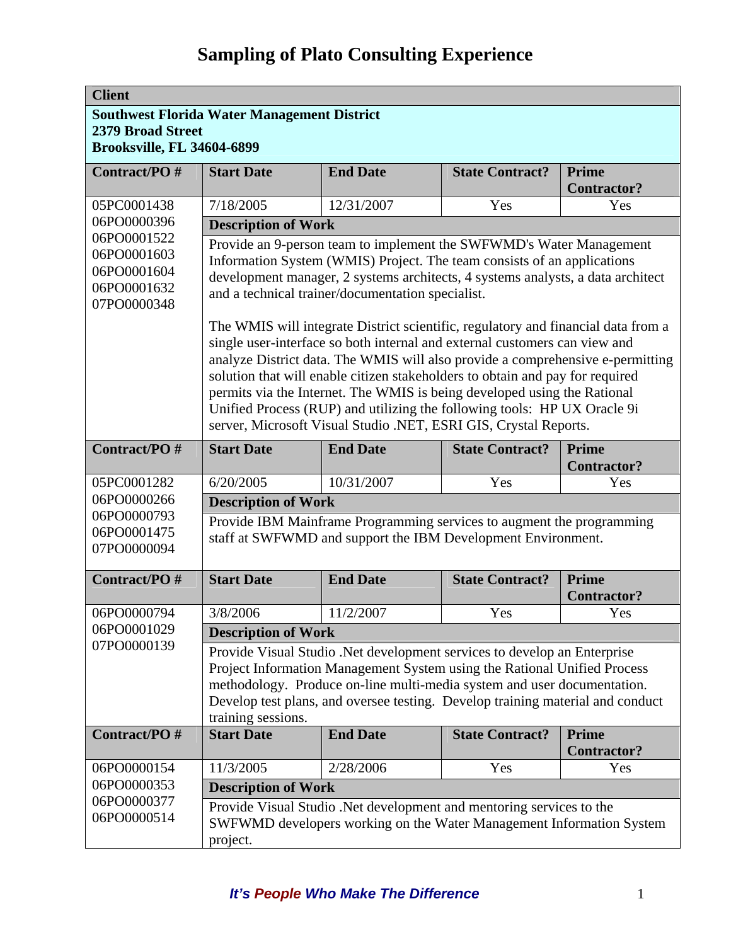| <b>Client</b>                     |                                                    |                                                                                                                                       |                        |                                    |
|-----------------------------------|----------------------------------------------------|---------------------------------------------------------------------------------------------------------------------------------------|------------------------|------------------------------------|
|                                   | <b>Southwest Florida Water Management District</b> |                                                                                                                                       |                        |                                    |
| <b>2379 Broad Street</b>          |                                                    |                                                                                                                                       |                        |                                    |
| <b>Brooksville, FL 34604-6899</b> |                                                    |                                                                                                                                       |                        |                                    |
| Contract/PO#                      | <b>Start Date</b>                                  | <b>End Date</b>                                                                                                                       | <b>State Contract?</b> | <b>Prime</b>                       |
|                                   |                                                    |                                                                                                                                       |                        | <b>Contractor?</b>                 |
| 05PC0001438                       | 7/18/2005                                          | 12/31/2007                                                                                                                            | Yes                    | Yes                                |
| 06PO0000396                       | <b>Description of Work</b>                         |                                                                                                                                       |                        |                                    |
| 06PO0001522                       |                                                    | Provide an 9-person team to implement the SWFWMD's Water Management                                                                   |                        |                                    |
| 06PO0001603<br>06PO0001604        |                                                    | Information System (WMIS) Project. The team consists of an applications                                                               |                        |                                    |
| 06PO0001632                       |                                                    | development manager, 2 systems architects, 4 systems analysts, a data architect                                                       |                        |                                    |
| 07PO0000348                       |                                                    | and a technical trainer/documentation specialist.                                                                                     |                        |                                    |
|                                   |                                                    | The WMIS will integrate District scientific, regulatory and financial data from a                                                     |                        |                                    |
|                                   |                                                    | single user-interface so both internal and external customers can view and                                                            |                        |                                    |
|                                   |                                                    | analyze District data. The WMIS will also provide a comprehensive e-permitting                                                        |                        |                                    |
|                                   |                                                    | solution that will enable citizen stakeholders to obtain and pay for required                                                         |                        |                                    |
|                                   |                                                    | permits via the Internet. The WMIS is being developed using the Rational                                                              |                        |                                    |
|                                   |                                                    | Unified Process (RUP) and utilizing the following tools: HP UX Oracle 9i                                                              |                        |                                    |
|                                   |                                                    | server, Microsoft Visual Studio .NET, ESRI GIS, Crystal Reports.                                                                      |                        |                                    |
| Contract/PO#                      | <b>Start Date</b>                                  | <b>End Date</b>                                                                                                                       | <b>State Contract?</b> | <b>Prime</b>                       |
| 05PC0001282                       | 6/20/2005                                          | 10/31/2007                                                                                                                            | Yes                    | <b>Contractor?</b><br>Yes          |
| 06PO0000266                       | <b>Description of Work</b>                         |                                                                                                                                       |                        |                                    |
| 06PO0000793                       |                                                    |                                                                                                                                       |                        |                                    |
| 06PO0001475                       |                                                    | Provide IBM Mainframe Programming services to augment the programming<br>staff at SWFWMD and support the IBM Development Environment. |                        |                                    |
| 07PO0000094                       |                                                    |                                                                                                                                       |                        |                                    |
| Contract/PO#                      | <b>Start Date</b>                                  | <b>End Date</b>                                                                                                                       | <b>State Contract?</b> | <b>Prime</b>                       |
|                                   |                                                    |                                                                                                                                       |                        | <b>Contractor?</b>                 |
| 06PO0000794                       | 3/8/2006                                           | 11/2/2007                                                                                                                             | Yes                    | Yes                                |
| 06PO0001029                       | <b>Description of Work</b>                         |                                                                                                                                       |                        |                                    |
| 07PO0000139                       |                                                    | Provide Visual Studio .Net development services to develop an Enterprise                                                              |                        |                                    |
|                                   |                                                    | Project Information Management System using the Rational Unified Process                                                              |                        |                                    |
|                                   |                                                    | methodology. Produce on-line multi-media system and user documentation.                                                               |                        |                                    |
|                                   |                                                    | Develop test plans, and oversee testing. Develop training material and conduct                                                        |                        |                                    |
| Contract/PO#                      | training sessions.                                 |                                                                                                                                       |                        |                                    |
|                                   | <b>Start Date</b>                                  | <b>End Date</b>                                                                                                                       | <b>State Contract?</b> | <b>Prime</b><br><b>Contractor?</b> |
| 06PO0000154                       | 11/3/2005                                          | 2/28/2006                                                                                                                             | Yes                    | Yes                                |
| 06PO0000353                       | <b>Description of Work</b>                         |                                                                                                                                       |                        |                                    |
| 06PO0000377                       |                                                    | Provide Visual Studio .Net development and mentoring services to the                                                                  |                        |                                    |
| 06PO0000514                       |                                                    | SWFWMD developers working on the Water Management Information System                                                                  |                        |                                    |
|                                   | project.                                           |                                                                                                                                       |                        |                                    |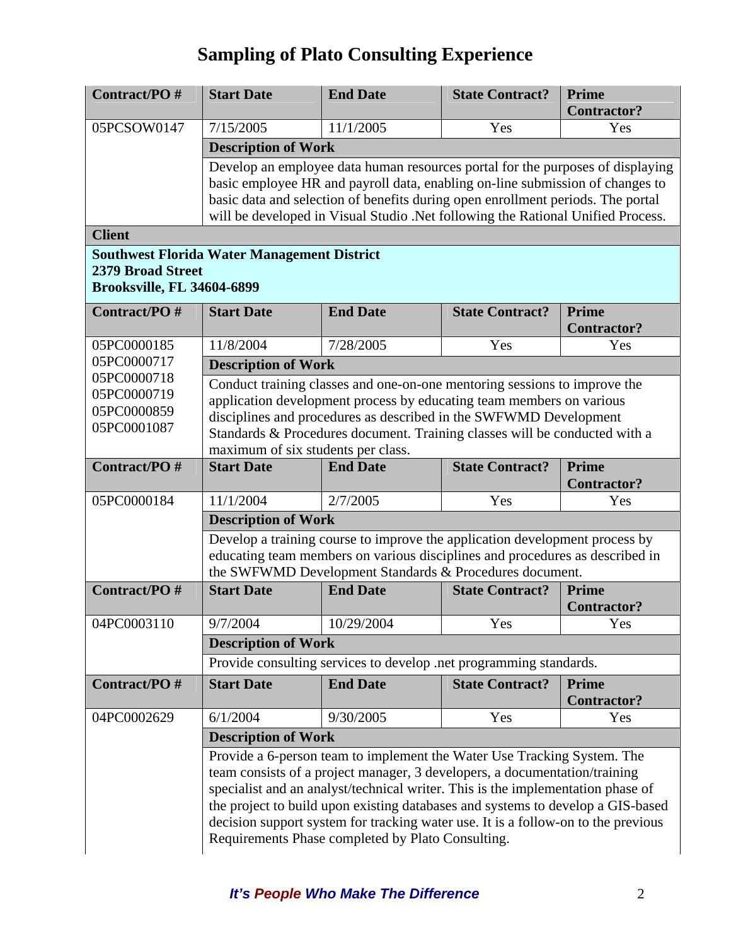| Contract/PO#                                                  | <b>Start Date</b>                                                                                                                                                                                                                                                                                                                          | <b>End Date</b>                                                                                                                                                                                                                                                                                                                                                                                                                                                       | <b>State Contract?</b> | Prime<br><b>Contractor?</b>        |  |
|---------------------------------------------------------------|--------------------------------------------------------------------------------------------------------------------------------------------------------------------------------------------------------------------------------------------------------------------------------------------------------------------------------------------|-----------------------------------------------------------------------------------------------------------------------------------------------------------------------------------------------------------------------------------------------------------------------------------------------------------------------------------------------------------------------------------------------------------------------------------------------------------------------|------------------------|------------------------------------|--|
| 05PCSOW0147                                                   | 7/15/2005                                                                                                                                                                                                                                                                                                                                  | 11/1/2005                                                                                                                                                                                                                                                                                                                                                                                                                                                             | Yes                    | Yes                                |  |
|                                                               | <b>Description of Work</b>                                                                                                                                                                                                                                                                                                                 |                                                                                                                                                                                                                                                                                                                                                                                                                                                                       |                        |                                    |  |
|                                                               | Develop an employee data human resources portal for the purposes of displaying<br>basic employee HR and payroll data, enabling on-line submission of changes to<br>basic data and selection of benefits during open enrollment periods. The portal<br>will be developed in Visual Studio .Net following the Rational Unified Process.      |                                                                                                                                                                                                                                                                                                                                                                                                                                                                       |                        |                                    |  |
| <b>Client</b>                                                 |                                                                                                                                                                                                                                                                                                                                            |                                                                                                                                                                                                                                                                                                                                                                                                                                                                       |                        |                                    |  |
| <b>2379 Broad Street</b><br><b>Brooksville, FL 34604-6899</b> | <b>Southwest Florida Water Management District</b>                                                                                                                                                                                                                                                                                         |                                                                                                                                                                                                                                                                                                                                                                                                                                                                       |                        |                                    |  |
| Contract/PO#                                                  | <b>Start Date</b>                                                                                                                                                                                                                                                                                                                          | <b>End Date</b>                                                                                                                                                                                                                                                                                                                                                                                                                                                       | <b>State Contract?</b> | <b>Prime</b><br><b>Contractor?</b> |  |
| 05PC0000185                                                   | 11/8/2004                                                                                                                                                                                                                                                                                                                                  | 7/28/2005                                                                                                                                                                                                                                                                                                                                                                                                                                                             | Yes                    | Yes                                |  |
| 05PC0000717                                                   | <b>Description of Work</b>                                                                                                                                                                                                                                                                                                                 |                                                                                                                                                                                                                                                                                                                                                                                                                                                                       |                        |                                    |  |
| 05PC0000718<br>05PC0000719<br>05PC0000859<br>05PC0001087      | Conduct training classes and one-on-one mentoring sessions to improve the<br>application development process by educating team members on various<br>disciplines and procedures as described in the SWFWMD Development<br>Standards & Procedures document. Training classes will be conducted with a<br>maximum of six students per class. |                                                                                                                                                                                                                                                                                                                                                                                                                                                                       |                        |                                    |  |
| Contract/PO#                                                  | <b>Start Date</b>                                                                                                                                                                                                                                                                                                                          | <b>End Date</b>                                                                                                                                                                                                                                                                                                                                                                                                                                                       | <b>State Contract?</b> | Prime<br><b>Contractor?</b>        |  |
| 05PC0000184                                                   | 11/1/2004                                                                                                                                                                                                                                                                                                                                  | 2/7/2005                                                                                                                                                                                                                                                                                                                                                                                                                                                              | Yes                    | Yes                                |  |
|                                                               | <b>Description of Work</b>                                                                                                                                                                                                                                                                                                                 |                                                                                                                                                                                                                                                                                                                                                                                                                                                                       |                        |                                    |  |
|                                                               |                                                                                                                                                                                                                                                                                                                                            | Develop a training course to improve the application development process by<br>educating team members on various disciplines and procedures as described in<br>the SWFWMD Development Standards & Procedures document.                                                                                                                                                                                                                                                |                        |                                    |  |
| Contract/PO#                                                  | <b>Start Date</b>                                                                                                                                                                                                                                                                                                                          | <b>End Date</b>                                                                                                                                                                                                                                                                                                                                                                                                                                                       | <b>State Contract?</b> | <b>Prime</b>                       |  |
|                                                               |                                                                                                                                                                                                                                                                                                                                            |                                                                                                                                                                                                                                                                                                                                                                                                                                                                       |                        | <b>Contractor?</b>                 |  |
| 04PC0003110                                                   | 9/7/2004                                                                                                                                                                                                                                                                                                                                   | 10/29/2004                                                                                                                                                                                                                                                                                                                                                                                                                                                            | Yes                    | Yes                                |  |
|                                                               | <b>Description of Work</b>                                                                                                                                                                                                                                                                                                                 |                                                                                                                                                                                                                                                                                                                                                                                                                                                                       |                        |                                    |  |
|                                                               |                                                                                                                                                                                                                                                                                                                                            | Provide consulting services to develop .net programming standards.                                                                                                                                                                                                                                                                                                                                                                                                    |                        |                                    |  |
| Contract/PO#                                                  | <b>Start Date</b>                                                                                                                                                                                                                                                                                                                          | <b>End Date</b>                                                                                                                                                                                                                                                                                                                                                                                                                                                       | <b>State Contract?</b> | <b>Prime</b><br><b>Contractor?</b> |  |
| 04PC0002629                                                   | 6/1/2004                                                                                                                                                                                                                                                                                                                                   | 9/30/2005                                                                                                                                                                                                                                                                                                                                                                                                                                                             | Yes                    | Yes                                |  |
|                                                               | <b>Description of Work</b>                                                                                                                                                                                                                                                                                                                 |                                                                                                                                                                                                                                                                                                                                                                                                                                                                       |                        |                                    |  |
|                                                               |                                                                                                                                                                                                                                                                                                                                            | Provide a 6-person team to implement the Water Use Tracking System. The<br>team consists of a project manager, 3 developers, a documentation/training<br>specialist and an analyst/technical writer. This is the implementation phase of<br>the project to build upon existing databases and systems to develop a GIS-based<br>decision support system for tracking water use. It is a follow-on to the previous<br>Requirements Phase completed by Plato Consulting. |                        |                                    |  |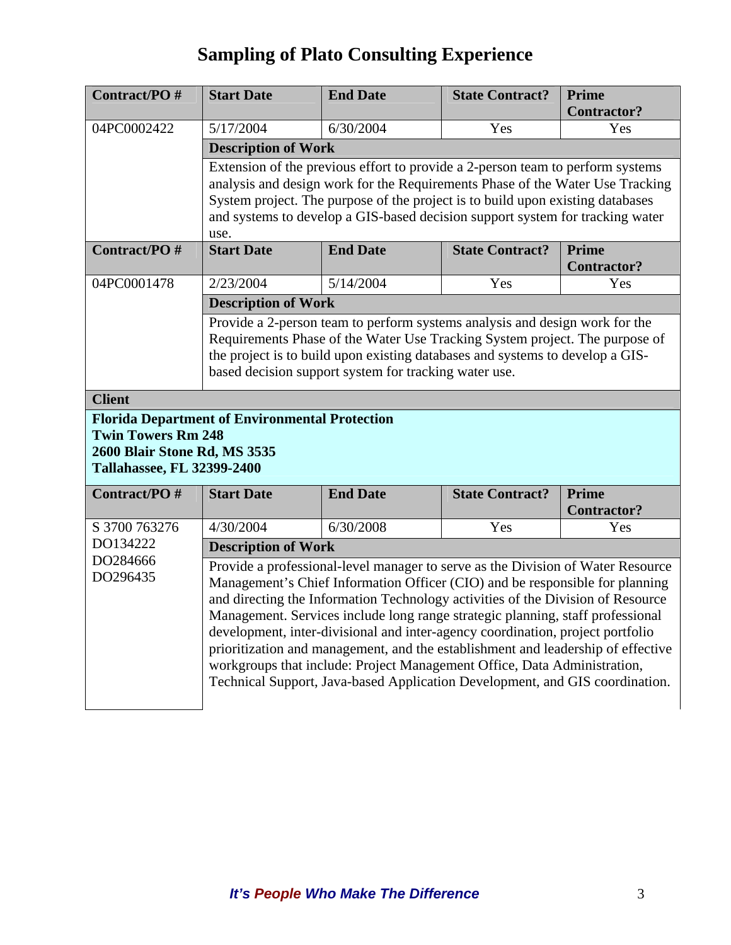| Contract/PO#                                                                                                                                                                                                                                                                                                                                                                                                                                                                                                                                                                                                                                                                       | <b>Start Date</b>                                                                                                                                                                                                                                                                                                                          | <b>End Date</b>                                                                                                                                                                                                                                                                                      | <b>State Contract?</b> | <b>Prime</b>                |  |
|------------------------------------------------------------------------------------------------------------------------------------------------------------------------------------------------------------------------------------------------------------------------------------------------------------------------------------------------------------------------------------------------------------------------------------------------------------------------------------------------------------------------------------------------------------------------------------------------------------------------------------------------------------------------------------|--------------------------------------------------------------------------------------------------------------------------------------------------------------------------------------------------------------------------------------------------------------------------------------------------------------------------------------------|------------------------------------------------------------------------------------------------------------------------------------------------------------------------------------------------------------------------------------------------------------------------------------------------------|------------------------|-----------------------------|--|
|                                                                                                                                                                                                                                                                                                                                                                                                                                                                                                                                                                                                                                                                                    |                                                                                                                                                                                                                                                                                                                                            |                                                                                                                                                                                                                                                                                                      |                        | <b>Contractor?</b>          |  |
| 04PC0002422                                                                                                                                                                                                                                                                                                                                                                                                                                                                                                                                                                                                                                                                        | 5/17/2004                                                                                                                                                                                                                                                                                                                                  | 6/30/2004                                                                                                                                                                                                                                                                                            | Yes                    | Yes                         |  |
|                                                                                                                                                                                                                                                                                                                                                                                                                                                                                                                                                                                                                                                                                    | <b>Description of Work</b>                                                                                                                                                                                                                                                                                                                 |                                                                                                                                                                                                                                                                                                      |                        |                             |  |
|                                                                                                                                                                                                                                                                                                                                                                                                                                                                                                                                                                                                                                                                                    | Extension of the previous effort to provide a 2-person team to perform systems<br>analysis and design work for the Requirements Phase of the Water Use Tracking<br>System project. The purpose of the project is to build upon existing databases<br>and systems to develop a GIS-based decision support system for tracking water<br>use. |                                                                                                                                                                                                                                                                                                      |                        |                             |  |
| Contract/PO#                                                                                                                                                                                                                                                                                                                                                                                                                                                                                                                                                                                                                                                                       | <b>Start Date</b>                                                                                                                                                                                                                                                                                                                          | <b>End Date</b>                                                                                                                                                                                                                                                                                      | <b>State Contract?</b> | Prime<br><b>Contractor?</b> |  |
| 04PC0001478                                                                                                                                                                                                                                                                                                                                                                                                                                                                                                                                                                                                                                                                        | 2/23/2004                                                                                                                                                                                                                                                                                                                                  | 5/14/2004                                                                                                                                                                                                                                                                                            | Yes                    | Yes                         |  |
|                                                                                                                                                                                                                                                                                                                                                                                                                                                                                                                                                                                                                                                                                    | <b>Description of Work</b>                                                                                                                                                                                                                                                                                                                 |                                                                                                                                                                                                                                                                                                      |                        |                             |  |
|                                                                                                                                                                                                                                                                                                                                                                                                                                                                                                                                                                                                                                                                                    |                                                                                                                                                                                                                                                                                                                                            | Provide a 2-person team to perform systems analysis and design work for the<br>Requirements Phase of the Water Use Tracking System project. The purpose of<br>the project is to build upon existing databases and systems to develop a GIS-<br>based decision support system for tracking water use. |                        |                             |  |
| <b>Client</b>                                                                                                                                                                                                                                                                                                                                                                                                                                                                                                                                                                                                                                                                      |                                                                                                                                                                                                                                                                                                                                            |                                                                                                                                                                                                                                                                                                      |                        |                             |  |
| <b>Twin Towers Rm 248</b><br>2600 Blair Stone Rd, MS 3535<br><b>Tallahassee, FL 32399-2400</b>                                                                                                                                                                                                                                                                                                                                                                                                                                                                                                                                                                                     | <b>Florida Department of Environmental Protection</b>                                                                                                                                                                                                                                                                                      |                                                                                                                                                                                                                                                                                                      |                        |                             |  |
| Contract/PO#                                                                                                                                                                                                                                                                                                                                                                                                                                                                                                                                                                                                                                                                       | <b>Start Date</b>                                                                                                                                                                                                                                                                                                                          | <b>End Date</b>                                                                                                                                                                                                                                                                                      | <b>State Contract?</b> | <b>Prime</b>                |  |
| S 3700 763276                                                                                                                                                                                                                                                                                                                                                                                                                                                                                                                                                                                                                                                                      | 4/30/2004                                                                                                                                                                                                                                                                                                                                  | 6/30/2008                                                                                                                                                                                                                                                                                            | Yes                    | <b>Contractor?</b><br>Yes   |  |
| DO134222                                                                                                                                                                                                                                                                                                                                                                                                                                                                                                                                                                                                                                                                           |                                                                                                                                                                                                                                                                                                                                            |                                                                                                                                                                                                                                                                                                      |                        |                             |  |
| DO284666                                                                                                                                                                                                                                                                                                                                                                                                                                                                                                                                                                                                                                                                           | <b>Description of Work</b>                                                                                                                                                                                                                                                                                                                 |                                                                                                                                                                                                                                                                                                      |                        |                             |  |
| Provide a professional-level manager to serve as the Division of Water Resource<br>DO296435<br>Management's Chief Information Officer (CIO) and be responsible for planning<br>and directing the Information Technology activities of the Division of Resource<br>Management. Services include long range strategic planning, staff professional<br>development, inter-divisional and inter-agency coordination, project portfolio<br>prioritization and management, and the establishment and leadership of effective<br>workgroups that include: Project Management Office, Data Administration,<br>Technical Support, Java-based Application Development, and GIS coordination. |                                                                                                                                                                                                                                                                                                                                            |                                                                                                                                                                                                                                                                                                      |                        |                             |  |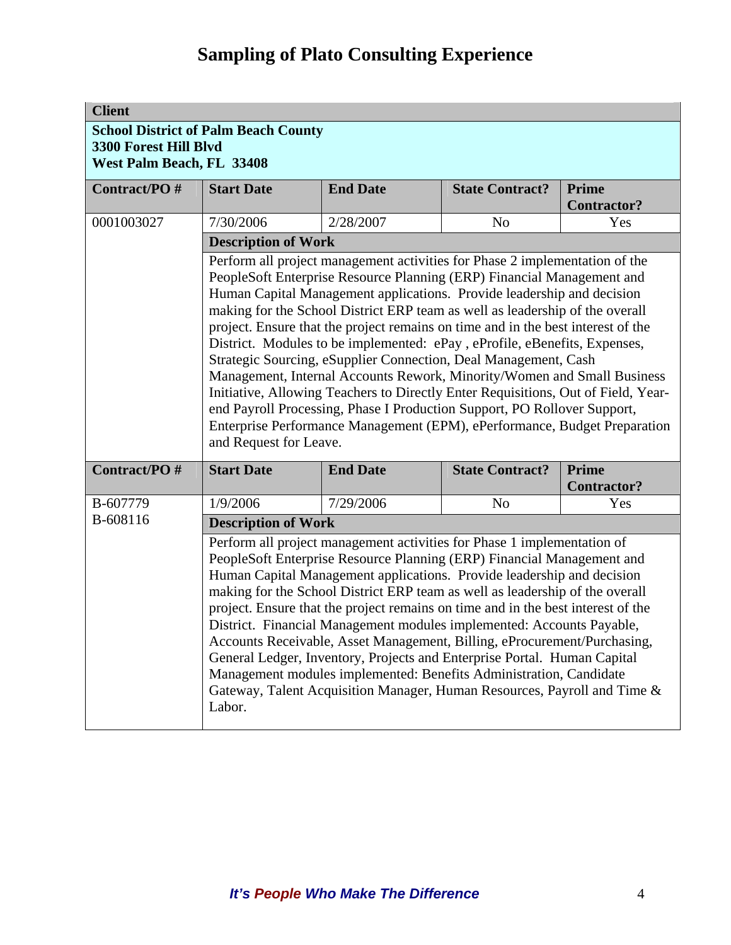| <b>Client</b> |                                                                                                                                                                                                                                                                                                                                                                                                                                                                                                                                                                                                                                                                                                                                                                                                                                                                                                        |                 |                        |                             |  |
|---------------|--------------------------------------------------------------------------------------------------------------------------------------------------------------------------------------------------------------------------------------------------------------------------------------------------------------------------------------------------------------------------------------------------------------------------------------------------------------------------------------------------------------------------------------------------------------------------------------------------------------------------------------------------------------------------------------------------------------------------------------------------------------------------------------------------------------------------------------------------------------------------------------------------------|-----------------|------------------------|-----------------------------|--|
|               | <b>School District of Palm Beach County</b><br>3300 Forest Hill Blvd<br>West Palm Beach, FL 33408                                                                                                                                                                                                                                                                                                                                                                                                                                                                                                                                                                                                                                                                                                                                                                                                      |                 |                        |                             |  |
| Contract/PO#  | <b>End Date</b><br><b>State Contract?</b><br>Prime<br><b>Start Date</b><br><b>Contractor?</b>                                                                                                                                                                                                                                                                                                                                                                                                                                                                                                                                                                                                                                                                                                                                                                                                          |                 |                        |                             |  |
| 0001003027    | 7/30/2006                                                                                                                                                                                                                                                                                                                                                                                                                                                                                                                                                                                                                                                                                                                                                                                                                                                                                              | 2/28/2007       | N <sub>o</sub>         | Yes                         |  |
|               | <b>Description of Work</b>                                                                                                                                                                                                                                                                                                                                                                                                                                                                                                                                                                                                                                                                                                                                                                                                                                                                             |                 |                        |                             |  |
|               | Perform all project management activities for Phase 2 implementation of the<br>PeopleSoft Enterprise Resource Planning (ERP) Financial Management and<br>Human Capital Management applications. Provide leadership and decision<br>making for the School District ERP team as well as leadership of the overall<br>project. Ensure that the project remains on time and in the best interest of the<br>District. Modules to be implemented: ePay, eProfile, eBenefits, Expenses,<br>Strategic Sourcing, eSupplier Connection, Deal Management, Cash<br>Management, Internal Accounts Rework, Minority/Women and Small Business<br>Initiative, Allowing Teachers to Directly Enter Requisitions, Out of Field, Year-<br>end Payroll Processing, Phase I Production Support, PO Rollover Support,<br>Enterprise Performance Management (EPM), ePerformance, Budget Preparation<br>and Request for Leave. |                 |                        |                             |  |
| Contract/PO#  | <b>Start Date</b>                                                                                                                                                                                                                                                                                                                                                                                                                                                                                                                                                                                                                                                                                                                                                                                                                                                                                      | <b>End Date</b> | <b>State Contract?</b> | Prime<br><b>Contractor?</b> |  |
| B-607779      | 1/9/2006                                                                                                                                                                                                                                                                                                                                                                                                                                                                                                                                                                                                                                                                                                                                                                                                                                                                                               | 7/29/2006       | N <sub>o</sub>         | Yes                         |  |
| B-608116      | <b>Description of Work</b>                                                                                                                                                                                                                                                                                                                                                                                                                                                                                                                                                                                                                                                                                                                                                                                                                                                                             |                 |                        |                             |  |
|               | Perform all project management activities for Phase 1 implementation of<br>PeopleSoft Enterprise Resource Planning (ERP) Financial Management and<br>Human Capital Management applications. Provide leadership and decision<br>making for the School District ERP team as well as leadership of the overall<br>project. Ensure that the project remains on time and in the best interest of the<br>District. Financial Management modules implemented: Accounts Payable,<br>Accounts Receivable, Asset Management, Billing, eProcurement/Purchasing,<br>General Ledger, Inventory, Projects and Enterprise Portal. Human Capital<br>Management modules implemented: Benefits Administration, Candidate<br>Gateway, Talent Acquisition Manager, Human Resources, Payroll and Time &<br>Labor.                                                                                                           |                 |                        |                             |  |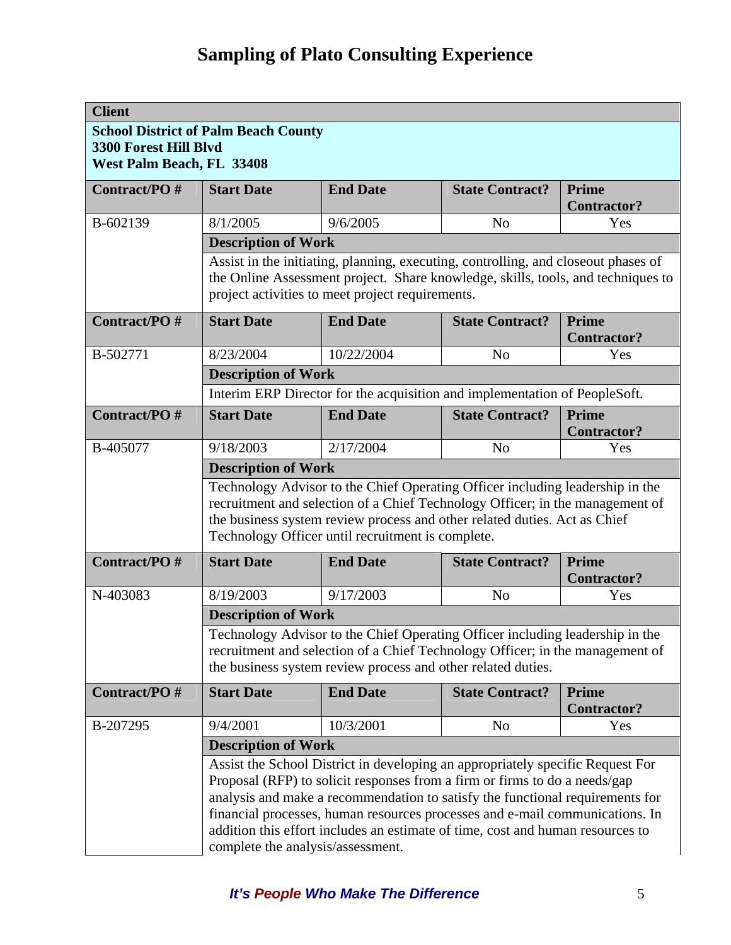| <b>Client</b>                                             |                                                                                                                                               |                                                                                                                                                                                                                                                                                                                                                                                                                 |                        |                                    |  |
|-----------------------------------------------------------|-----------------------------------------------------------------------------------------------------------------------------------------------|-----------------------------------------------------------------------------------------------------------------------------------------------------------------------------------------------------------------------------------------------------------------------------------------------------------------------------------------------------------------------------------------------------------------|------------------------|------------------------------------|--|
|                                                           | <b>School District of Palm Beach County</b>                                                                                                   |                                                                                                                                                                                                                                                                                                                                                                                                                 |                        |                                    |  |
| <b>3300 Forest Hill Blvd</b><br>West Palm Beach, FL 33408 |                                                                                                                                               |                                                                                                                                                                                                                                                                                                                                                                                                                 |                        |                                    |  |
| Contract/PO#                                              | <b>Start Date</b>                                                                                                                             | <b>End Date</b>                                                                                                                                                                                                                                                                                                                                                                                                 | <b>State Contract?</b> | <b>Prime</b>                       |  |
|                                                           |                                                                                                                                               |                                                                                                                                                                                                                                                                                                                                                                                                                 |                        | <b>Contractor?</b>                 |  |
| B-602139                                                  | 8/1/2005                                                                                                                                      | 9/6/2005                                                                                                                                                                                                                                                                                                                                                                                                        | N <sub>o</sub>         | Yes                                |  |
|                                                           | <b>Description of Work</b>                                                                                                                    |                                                                                                                                                                                                                                                                                                                                                                                                                 |                        |                                    |  |
|                                                           |                                                                                                                                               | Assist in the initiating, planning, executing, controlling, and closeout phases of<br>the Online Assessment project. Share knowledge, skills, tools, and techniques to<br>project activities to meet project requirements.                                                                                                                                                                                      |                        |                                    |  |
| Contract/PO#                                              | <b>Start Date</b>                                                                                                                             | <b>End Date</b>                                                                                                                                                                                                                                                                                                                                                                                                 | <b>State Contract?</b> | <b>Prime</b><br><b>Contractor?</b> |  |
| B-502771                                                  | 8/23/2004                                                                                                                                     | 10/22/2004                                                                                                                                                                                                                                                                                                                                                                                                      | N <sub>o</sub>         | Yes                                |  |
|                                                           | <b>Description of Work</b>                                                                                                                    |                                                                                                                                                                                                                                                                                                                                                                                                                 |                        |                                    |  |
|                                                           |                                                                                                                                               | Interim ERP Director for the acquisition and implementation of PeopleSoft.                                                                                                                                                                                                                                                                                                                                      |                        |                                    |  |
| Contract/PO#                                              | <b>Start Date</b>                                                                                                                             | <b>End Date</b>                                                                                                                                                                                                                                                                                                                                                                                                 | <b>State Contract?</b> | <b>Prime</b><br><b>Contractor?</b> |  |
| B-405077                                                  | 9/18/2003                                                                                                                                     | 2/17/2004                                                                                                                                                                                                                                                                                                                                                                                                       | N <sub>o</sub>         | Yes                                |  |
|                                                           | <b>Description of Work</b>                                                                                                                    |                                                                                                                                                                                                                                                                                                                                                                                                                 |                        |                                    |  |
|                                                           |                                                                                                                                               | Technology Advisor to the Chief Operating Officer including leadership in the<br>recruitment and selection of a Chief Technology Officer; in the management of<br>the business system review process and other related duties. Act as Chief<br>Technology Officer until recruitment is complete.                                                                                                                |                        |                                    |  |
| Contract/PO#                                              | <b>Start Date</b>                                                                                                                             | <b>End Date</b>                                                                                                                                                                                                                                                                                                                                                                                                 | <b>State Contract?</b> | <b>Prime</b><br><b>Contractor?</b> |  |
| N-403083                                                  | 8/19/2003                                                                                                                                     | 9/17/2003                                                                                                                                                                                                                                                                                                                                                                                                       | N <sub>o</sub>         | Yes                                |  |
|                                                           | <b>Description of Work</b>                                                                                                                    |                                                                                                                                                                                                                                                                                                                                                                                                                 |                        |                                    |  |
|                                                           |                                                                                                                                               | Technology Advisor to the Chief Operating Officer including leadership in the                                                                                                                                                                                                                                                                                                                                   |                        |                                    |  |
|                                                           | recruitment and selection of a Chief Technology Officer; in the management of<br>the business system review process and other related duties. |                                                                                                                                                                                                                                                                                                                                                                                                                 |                        |                                    |  |
| Contract/PO#                                              | <b>Start Date</b>                                                                                                                             | <b>End Date</b>                                                                                                                                                                                                                                                                                                                                                                                                 | <b>State Contract?</b> | <b>Prime</b><br><b>Contractor?</b> |  |
| B-207295                                                  | 9/4/2001                                                                                                                                      | 10/3/2001                                                                                                                                                                                                                                                                                                                                                                                                       | N <sub>o</sub>         | Yes                                |  |
|                                                           | <b>Description of Work</b>                                                                                                                    |                                                                                                                                                                                                                                                                                                                                                                                                                 |                        |                                    |  |
|                                                           | complete the analysis/assessment.                                                                                                             | Assist the School District in developing an appropriately specific Request For<br>Proposal (RFP) to solicit responses from a firm or firms to do a needs/gap<br>analysis and make a recommendation to satisfy the functional requirements for<br>financial processes, human resources processes and e-mail communications. In<br>addition this effort includes an estimate of time, cost and human resources to |                        |                                    |  |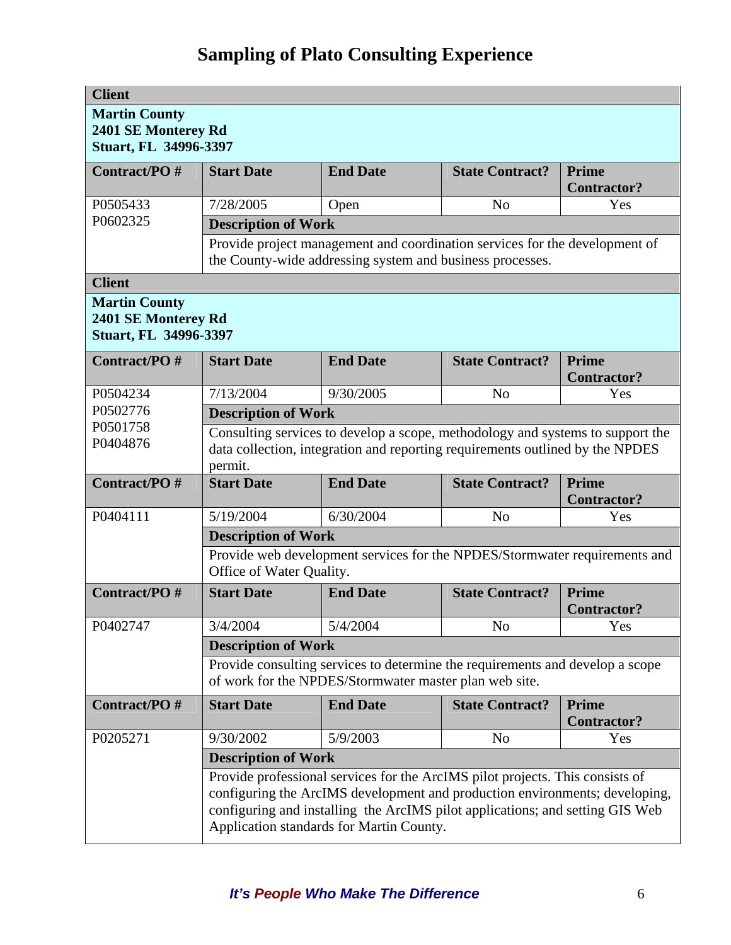| <b>Client</b>                                                               |                            |                                                                                                                                                                                                                                                                                           |                        |                                    |  |
|-----------------------------------------------------------------------------|----------------------------|-------------------------------------------------------------------------------------------------------------------------------------------------------------------------------------------------------------------------------------------------------------------------------------------|------------------------|------------------------------------|--|
| <b>Martin County</b><br>2401 SE Monterey Rd<br><b>Stuart, FL 34996-3397</b> |                            |                                                                                                                                                                                                                                                                                           |                        |                                    |  |
| Contract/PO#                                                                | <b>Start Date</b>          | <b>End Date</b>                                                                                                                                                                                                                                                                           | <b>State Contract?</b> | Prime<br><b>Contractor?</b>        |  |
| P0505433                                                                    | 7/28/2005                  | Open                                                                                                                                                                                                                                                                                      | N <sub>0</sub>         | Yes                                |  |
| P0602325                                                                    | <b>Description of Work</b> |                                                                                                                                                                                                                                                                                           |                        |                                    |  |
|                                                                             |                            | Provide project management and coordination services for the development of<br>the County-wide addressing system and business processes.                                                                                                                                                  |                        |                                    |  |
| <b>Client</b>                                                               |                            |                                                                                                                                                                                                                                                                                           |                        |                                    |  |
| <b>Martin County</b><br>2401 SE Monterey Rd<br><b>Stuart, FL 34996-3397</b> |                            |                                                                                                                                                                                                                                                                                           |                        |                                    |  |
| <b>Contract/PO#</b>                                                         | <b>Start Date</b>          | <b>End Date</b>                                                                                                                                                                                                                                                                           | <b>State Contract?</b> | Prime<br><b>Contractor?</b>        |  |
| P0504234                                                                    | 7/13/2004                  | 9/30/2005                                                                                                                                                                                                                                                                                 | N <sub>o</sub>         | Yes                                |  |
| P0502776                                                                    | <b>Description of Work</b> |                                                                                                                                                                                                                                                                                           |                        |                                    |  |
| P0501758<br>P0404876                                                        | permit.                    | Consulting services to develop a scope, methodology and systems to support the<br>data collection, integration and reporting requirements outlined by the NPDES                                                                                                                           |                        |                                    |  |
| Contract/PO#                                                                | <b>Start Date</b>          | <b>End Date</b>                                                                                                                                                                                                                                                                           | <b>State Contract?</b> | Prime<br><b>Contractor?</b>        |  |
| P0404111                                                                    | 5/19/2004                  | 6/30/2004                                                                                                                                                                                                                                                                                 | N <sub>o</sub>         | Yes                                |  |
|                                                                             | <b>Description of Work</b> |                                                                                                                                                                                                                                                                                           |                        |                                    |  |
|                                                                             | Office of Water Quality.   | Provide web development services for the NPDES/Stormwater requirements and                                                                                                                                                                                                                |                        |                                    |  |
| Contract/PO#                                                                | <b>Start Date</b>          | <b>End Date</b>                                                                                                                                                                                                                                                                           | <b>State Contract?</b> | Prime<br><b>Contractor?</b>        |  |
| P0402747                                                                    | 3/4/2004                   | 5/4/2004                                                                                                                                                                                                                                                                                  | N <sub>0</sub>         | Yes                                |  |
|                                                                             | <b>Description of Work</b> |                                                                                                                                                                                                                                                                                           |                        |                                    |  |
|                                                                             |                            | Provide consulting services to determine the requirements and develop a scope<br>of work for the NPDES/Stormwater master plan web site.                                                                                                                                                   |                        |                                    |  |
| Contract/PO#                                                                | <b>Start Date</b>          | <b>End Date</b>                                                                                                                                                                                                                                                                           | <b>State Contract?</b> | <b>Prime</b><br><b>Contractor?</b> |  |
| P0205271                                                                    | 9/30/2002                  | 5/9/2003                                                                                                                                                                                                                                                                                  | N <sub>0</sub>         | Yes                                |  |
|                                                                             | <b>Description of Work</b> |                                                                                                                                                                                                                                                                                           |                        |                                    |  |
|                                                                             |                            | Provide professional services for the ArcIMS pilot projects. This consists of<br>configuring the ArcIMS development and production environments; developing,<br>configuring and installing the ArcIMS pilot applications; and setting GIS Web<br>Application standards for Martin County. |                        |                                    |  |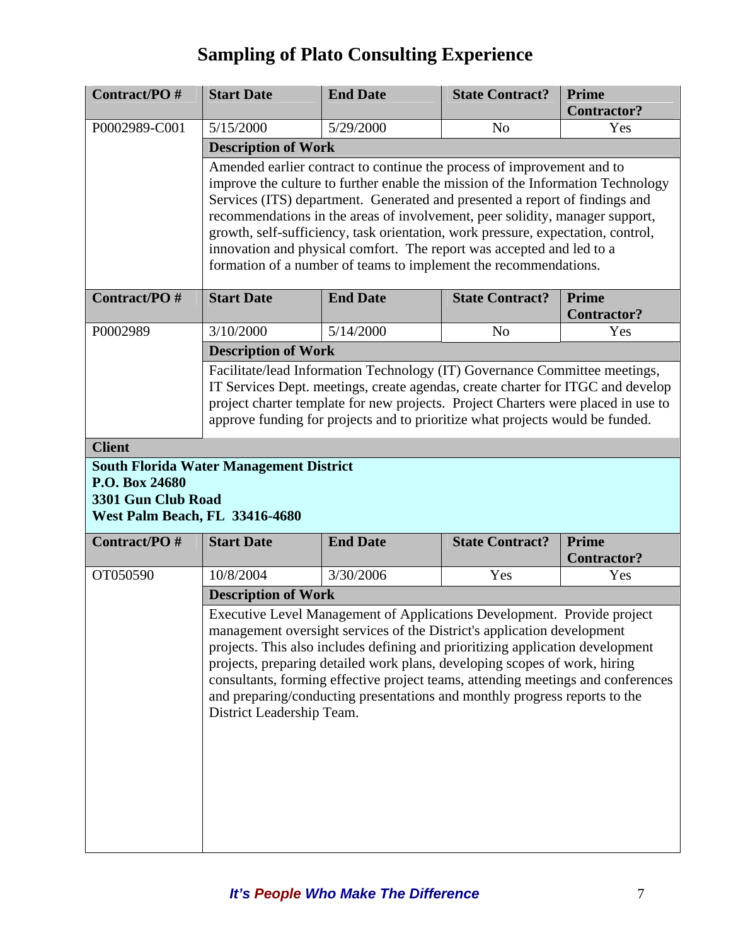| Contract/PO#                                                           | <b>Start Date</b>                                                                                                                                                                                                                                                                                                                                                                                                                                                                                                                                         | <b>End Date</b>                                                                                                                                                                                                                                                                                                                                                                                                                                                                      | <b>State Contract?</b> | <b>Prime</b><br><b>Contractor?</b> |
|------------------------------------------------------------------------|-----------------------------------------------------------------------------------------------------------------------------------------------------------------------------------------------------------------------------------------------------------------------------------------------------------------------------------------------------------------------------------------------------------------------------------------------------------------------------------------------------------------------------------------------------------|--------------------------------------------------------------------------------------------------------------------------------------------------------------------------------------------------------------------------------------------------------------------------------------------------------------------------------------------------------------------------------------------------------------------------------------------------------------------------------------|------------------------|------------------------------------|
| P0002989-C001                                                          | 5/15/2000                                                                                                                                                                                                                                                                                                                                                                                                                                                                                                                                                 | 5/29/2000                                                                                                                                                                                                                                                                                                                                                                                                                                                                            | N <sub>o</sub>         | Yes                                |
|                                                                        | <b>Description of Work</b>                                                                                                                                                                                                                                                                                                                                                                                                                                                                                                                                |                                                                                                                                                                                                                                                                                                                                                                                                                                                                                      |                        |                                    |
|                                                                        | Amended earlier contract to continue the process of improvement and to<br>improve the culture to further enable the mission of the Information Technology<br>Services (ITS) department. Generated and presented a report of findings and<br>recommendations in the areas of involvement, peer solidity, manager support,<br>growth, self-sufficiency, task orientation, work pressure, expectation, control,<br>innovation and physical comfort. The report was accepted and led to a<br>formation of a number of teams to implement the recommendations. |                                                                                                                                                                                                                                                                                                                                                                                                                                                                                      |                        |                                    |
| Contract/PO#                                                           | <b>Start Date</b>                                                                                                                                                                                                                                                                                                                                                                                                                                                                                                                                         | <b>End Date</b>                                                                                                                                                                                                                                                                                                                                                                                                                                                                      | <b>State Contract?</b> | Prime<br><b>Contractor?</b>        |
| P0002989                                                               | 3/10/2000                                                                                                                                                                                                                                                                                                                                                                                                                                                                                                                                                 | 5/14/2000                                                                                                                                                                                                                                                                                                                                                                                                                                                                            | N <sub>o</sub>         | Yes                                |
|                                                                        | <b>Description of Work</b>                                                                                                                                                                                                                                                                                                                                                                                                                                                                                                                                |                                                                                                                                                                                                                                                                                                                                                                                                                                                                                      |                        |                                    |
|                                                                        |                                                                                                                                                                                                                                                                                                                                                                                                                                                                                                                                                           | Facilitate/lead Information Technology (IT) Governance Committee meetings,<br>IT Services Dept. meetings, create agendas, create charter for ITGC and develop<br>project charter template for new projects. Project Charters were placed in use to<br>approve funding for projects and to prioritize what projects would be funded.                                                                                                                                                  |                        |                                    |
| <b>Client</b>                                                          |                                                                                                                                                                                                                                                                                                                                                                                                                                                                                                                                                           |                                                                                                                                                                                                                                                                                                                                                                                                                                                                                      |                        |                                    |
| P.O. Box 24680<br>3301 Gun Club Road<br>West Palm Beach, FL 33416-4680 | <b>South Florida Water Management District</b>                                                                                                                                                                                                                                                                                                                                                                                                                                                                                                            |                                                                                                                                                                                                                                                                                                                                                                                                                                                                                      |                        |                                    |
| Contract/PO#                                                           | <b>Start Date</b>                                                                                                                                                                                                                                                                                                                                                                                                                                                                                                                                         | <b>End Date</b>                                                                                                                                                                                                                                                                                                                                                                                                                                                                      | <b>State Contract?</b> | Prime<br><b>Contractor?</b>        |
| OT050590                                                               | 10/8/2004                                                                                                                                                                                                                                                                                                                                                                                                                                                                                                                                                 | 3/30/2006                                                                                                                                                                                                                                                                                                                                                                                                                                                                            | Yes                    | Yes                                |
|                                                                        | <b>Description of Work</b>                                                                                                                                                                                                                                                                                                                                                                                                                                                                                                                                |                                                                                                                                                                                                                                                                                                                                                                                                                                                                                      |                        |                                    |
|                                                                        | District Leadership Team.                                                                                                                                                                                                                                                                                                                                                                                                                                                                                                                                 | Executive Level Management of Applications Development. Provide project<br>management oversight services of the District's application development<br>projects. This also includes defining and prioritizing application development<br>projects, preparing detailed work plans, developing scopes of work, hiring<br>consultants, forming effective project teams, attending meetings and conferences<br>and preparing/conducting presentations and monthly progress reports to the |                        |                                    |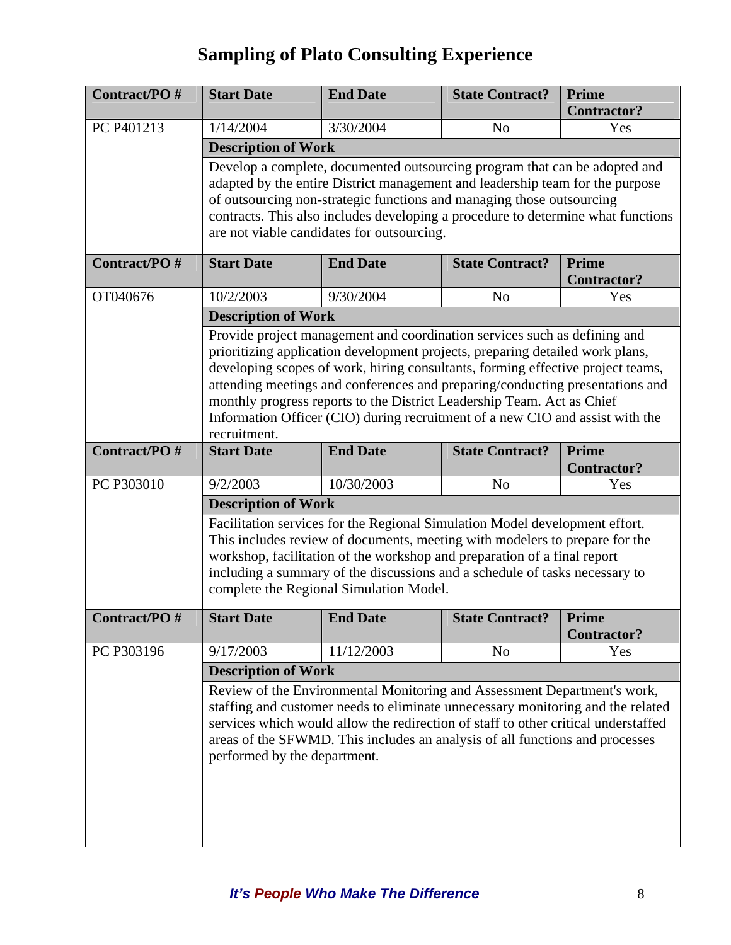| <b>Contract/PO#</b> | <b>Start Date</b>                                                                                                                                                                                                                                                                                                                                                                                                                                                                                         | <b>End Date</b>                                                                                                                                                                                                                                                                                                                   | <b>State Contract?</b> | <b>Prime</b><br><b>Contractor?</b> |  |  |
|---------------------|-----------------------------------------------------------------------------------------------------------------------------------------------------------------------------------------------------------------------------------------------------------------------------------------------------------------------------------------------------------------------------------------------------------------------------------------------------------------------------------------------------------|-----------------------------------------------------------------------------------------------------------------------------------------------------------------------------------------------------------------------------------------------------------------------------------------------------------------------------------|------------------------|------------------------------------|--|--|
| PC P401213          | 1/14/2004                                                                                                                                                                                                                                                                                                                                                                                                                                                                                                 | 3/30/2004                                                                                                                                                                                                                                                                                                                         | N <sub>o</sub>         | Yes                                |  |  |
|                     | <b>Description of Work</b>                                                                                                                                                                                                                                                                                                                                                                                                                                                                                |                                                                                                                                                                                                                                                                                                                                   |                        |                                    |  |  |
|                     | Develop a complete, documented outsourcing program that can be adopted and<br>adapted by the entire District management and leadership team for the purpose<br>of outsourcing non-strategic functions and managing those outsourcing<br>contracts. This also includes developing a procedure to determine what functions<br>are not viable candidates for outsourcing.                                                                                                                                    |                                                                                                                                                                                                                                                                                                                                   |                        |                                    |  |  |
| Contract/PO#        | <b>Start Date</b><br><b>End Date</b><br><b>Prime</b><br><b>State Contract?</b><br><b>Contractor?</b>                                                                                                                                                                                                                                                                                                                                                                                                      |                                                                                                                                                                                                                                                                                                                                   |                        |                                    |  |  |
| OT040676            | 10/2/2003                                                                                                                                                                                                                                                                                                                                                                                                                                                                                                 | 9/30/2004                                                                                                                                                                                                                                                                                                                         | N <sub>o</sub>         | Yes                                |  |  |
|                     | <b>Description of Work</b>                                                                                                                                                                                                                                                                                                                                                                                                                                                                                |                                                                                                                                                                                                                                                                                                                                   |                        |                                    |  |  |
|                     | Provide project management and coordination services such as defining and<br>prioritizing application development projects, preparing detailed work plans,<br>developing scopes of work, hiring consultants, forming effective project teams,<br>attending meetings and conferences and preparing/conducting presentations and<br>monthly progress reports to the District Leadership Team. Act as Chief<br>Information Officer (CIO) during recruitment of a new CIO and assist with the<br>recruitment. |                                                                                                                                                                                                                                                                                                                                   |                        |                                    |  |  |
| Contract/PO#        | <b>Start Date</b>                                                                                                                                                                                                                                                                                                                                                                                                                                                                                         | <b>End Date</b>                                                                                                                                                                                                                                                                                                                   | <b>State Contract?</b> | <b>Prime</b><br><b>Contractor?</b> |  |  |
| PC P303010          | 9/2/2003                                                                                                                                                                                                                                                                                                                                                                                                                                                                                                  | 10/30/2003                                                                                                                                                                                                                                                                                                                        | N <sub>o</sub>         | Yes                                |  |  |
|                     | <b>Description of Work</b>                                                                                                                                                                                                                                                                                                                                                                                                                                                                                |                                                                                                                                                                                                                                                                                                                                   |                        |                                    |  |  |
|                     | Facilitation services for the Regional Simulation Model development effort.<br>This includes review of documents, meeting with modelers to prepare for the<br>workshop, facilitation of the workshop and preparation of a final report<br>including a summary of the discussions and a schedule of tasks necessary to<br>complete the Regional Simulation Model.                                                                                                                                          |                                                                                                                                                                                                                                                                                                                                   |                        |                                    |  |  |
| Contract/PO#        | <b>Start Date</b>                                                                                                                                                                                                                                                                                                                                                                                                                                                                                         | <b>End Date</b>                                                                                                                                                                                                                                                                                                                   | <b>State Contract?</b> | <b>Prime</b><br><b>Contractor?</b> |  |  |
| PC P303196          | 9/17/2003                                                                                                                                                                                                                                                                                                                                                                                                                                                                                                 | 11/12/2003                                                                                                                                                                                                                                                                                                                        | N <sub>0</sub>         | Yes                                |  |  |
|                     | <b>Description of Work</b>                                                                                                                                                                                                                                                                                                                                                                                                                                                                                |                                                                                                                                                                                                                                                                                                                                   |                        |                                    |  |  |
|                     | performed by the department.                                                                                                                                                                                                                                                                                                                                                                                                                                                                              | Review of the Environmental Monitoring and Assessment Department's work,<br>staffing and customer needs to eliminate unnecessary monitoring and the related<br>services which would allow the redirection of staff to other critical understaffed<br>areas of the SFWMD. This includes an analysis of all functions and processes |                        |                                    |  |  |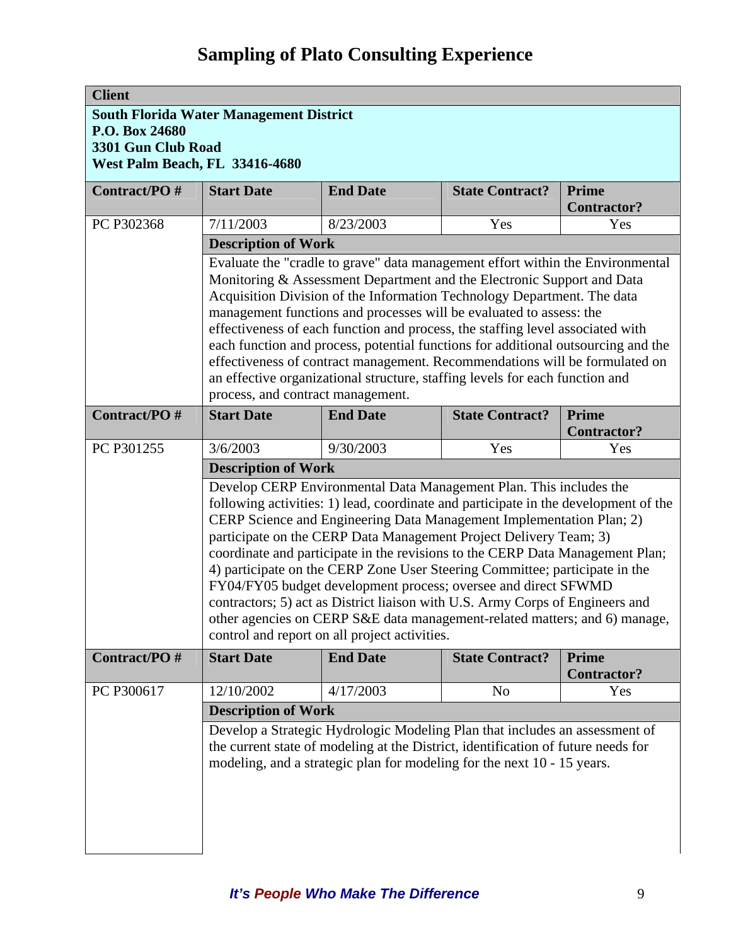| <b>Client</b>                  |                                                                                                                                                                                                                                                                                                                                                                                                                                                                                                                                                                                                                                                                                                                                                          |                                                                                                                                                                                                                                             |                        |                                    |
|--------------------------------|----------------------------------------------------------------------------------------------------------------------------------------------------------------------------------------------------------------------------------------------------------------------------------------------------------------------------------------------------------------------------------------------------------------------------------------------------------------------------------------------------------------------------------------------------------------------------------------------------------------------------------------------------------------------------------------------------------------------------------------------------------|---------------------------------------------------------------------------------------------------------------------------------------------------------------------------------------------------------------------------------------------|------------------------|------------------------------------|
|                                | <b>South Florida Water Management District</b>                                                                                                                                                                                                                                                                                                                                                                                                                                                                                                                                                                                                                                                                                                           |                                                                                                                                                                                                                                             |                        |                                    |
| P.O. Box 24680                 |                                                                                                                                                                                                                                                                                                                                                                                                                                                                                                                                                                                                                                                                                                                                                          |                                                                                                                                                                                                                                             |                        |                                    |
| 3301 Gun Club Road             |                                                                                                                                                                                                                                                                                                                                                                                                                                                                                                                                                                                                                                                                                                                                                          |                                                                                                                                                                                                                                             |                        |                                    |
| West Palm Beach, FL 33416-4680 |                                                                                                                                                                                                                                                                                                                                                                                                                                                                                                                                                                                                                                                                                                                                                          |                                                                                                                                                                                                                                             |                        |                                    |
| Contract/PO#                   | <b>Start Date</b>                                                                                                                                                                                                                                                                                                                                                                                                                                                                                                                                                                                                                                                                                                                                        | <b>End Date</b>                                                                                                                                                                                                                             | <b>State Contract?</b> | Prime<br><b>Contractor?</b>        |
| PC P302368                     | 7/11/2003                                                                                                                                                                                                                                                                                                                                                                                                                                                                                                                                                                                                                                                                                                                                                | 8/23/2003                                                                                                                                                                                                                                   | Yes                    | Yes                                |
|                                | <b>Description of Work</b>                                                                                                                                                                                                                                                                                                                                                                                                                                                                                                                                                                                                                                                                                                                               |                                                                                                                                                                                                                                             |                        |                                    |
|                                | Evaluate the "cradle to grave" data management effort within the Environmental<br>Monitoring & Assessment Department and the Electronic Support and Data<br>Acquisition Division of the Information Technology Department. The data<br>management functions and processes will be evaluated to assess: the<br>effectiveness of each function and process, the staffing level associated with<br>each function and process, potential functions for additional outsourcing and the<br>effectiveness of contract management. Recommendations will be formulated on<br>an effective organizational structure, staffing levels for each function and<br>process, and contract management.                                                                    |                                                                                                                                                                                                                                             |                        |                                    |
|                                |                                                                                                                                                                                                                                                                                                                                                                                                                                                                                                                                                                                                                                                                                                                                                          |                                                                                                                                                                                                                                             |                        |                                    |
| Contract/PO#                   | <b>Start Date</b>                                                                                                                                                                                                                                                                                                                                                                                                                                                                                                                                                                                                                                                                                                                                        | <b>End Date</b>                                                                                                                                                                                                                             | <b>State Contract?</b> | Prime                              |
|                                |                                                                                                                                                                                                                                                                                                                                                                                                                                                                                                                                                                                                                                                                                                                                                          |                                                                                                                                                                                                                                             |                        | <b>Contractor?</b>                 |
| PC P301255                     | 3/6/2003                                                                                                                                                                                                                                                                                                                                                                                                                                                                                                                                                                                                                                                                                                                                                 | 9/30/2003                                                                                                                                                                                                                                   | Yes                    | Yes                                |
|                                | <b>Description of Work</b>                                                                                                                                                                                                                                                                                                                                                                                                                                                                                                                                                                                                                                                                                                                               |                                                                                                                                                                                                                                             |                        |                                    |
|                                | Develop CERP Environmental Data Management Plan. This includes the<br>following activities: 1) lead, coordinate and participate in the development of the<br>CERP Science and Engineering Data Management Implementation Plan; 2)<br>participate on the CERP Data Management Project Delivery Team; 3)<br>coordinate and participate in the revisions to the CERP Data Management Plan;<br>4) participate on the CERP Zone User Steering Committee; participate in the<br>FY04/FY05 budget development process; oversee and direct SFWMD<br>contractors; 5) act as District liaison with U.S. Army Corps of Engineers and<br>other agencies on CERP S&E data management-related matters; and 6) manage,<br>control and report on all project activities. |                                                                                                                                                                                                                                             |                        |                                    |
| Contract/PO#                   | <b>Start Date</b>                                                                                                                                                                                                                                                                                                                                                                                                                                                                                                                                                                                                                                                                                                                                        | <b>End Date</b>                                                                                                                                                                                                                             | <b>State Contract?</b> | <b>Prime</b><br><b>Contractor?</b> |
| PC P300617                     | 12/10/2002                                                                                                                                                                                                                                                                                                                                                                                                                                                                                                                                                                                                                                                                                                                                               | 4/17/2003                                                                                                                                                                                                                                   | N <sub>o</sub>         | Yes                                |
|                                | <b>Description of Work</b>                                                                                                                                                                                                                                                                                                                                                                                                                                                                                                                                                                                                                                                                                                                               |                                                                                                                                                                                                                                             |                        |                                    |
|                                |                                                                                                                                                                                                                                                                                                                                                                                                                                                                                                                                                                                                                                                                                                                                                          | Develop a Strategic Hydrologic Modeling Plan that includes an assessment of<br>the current state of modeling at the District, identification of future needs for<br>modeling, and a strategic plan for modeling for the next 10 - 15 years. |                        |                                    |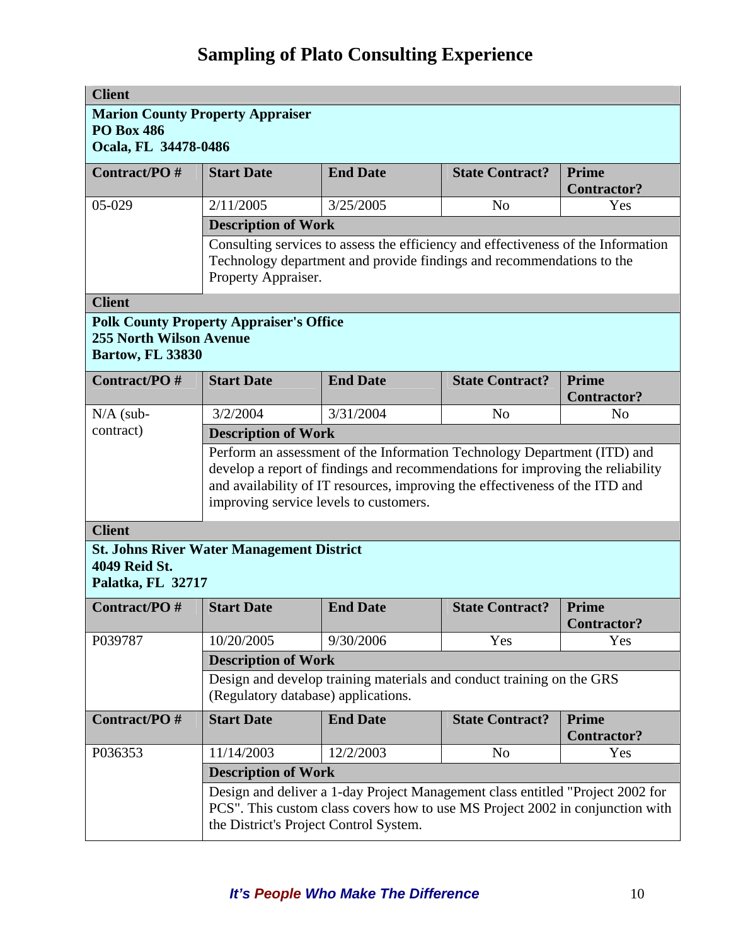| <b>Client</b>                                                                                                                                                                                             |                                                                                                                                                                                   |                                                                                                                                                                                                                                            |                        |                                    |  |
|-----------------------------------------------------------------------------------------------------------------------------------------------------------------------------------------------------------|-----------------------------------------------------------------------------------------------------------------------------------------------------------------------------------|--------------------------------------------------------------------------------------------------------------------------------------------------------------------------------------------------------------------------------------------|------------------------|------------------------------------|--|
| <b>Marion County Property Appraiser</b><br><b>PO Box 486</b><br>Ocala, FL 34478-0486                                                                                                                      |                                                                                                                                                                                   |                                                                                                                                                                                                                                            |                        |                                    |  |
| Contract/PO#                                                                                                                                                                                              | <b>Start Date</b>                                                                                                                                                                 | <b>End Date</b>                                                                                                                                                                                                                            | <b>State Contract?</b> | Prime<br><b>Contractor?</b>        |  |
| 05-029                                                                                                                                                                                                    | 2/11/2005                                                                                                                                                                         | 3/25/2005                                                                                                                                                                                                                                  | N <sub>0</sub>         | Yes                                |  |
|                                                                                                                                                                                                           | <b>Description of Work</b>                                                                                                                                                        |                                                                                                                                                                                                                                            |                        |                                    |  |
|                                                                                                                                                                                                           | Consulting services to assess the efficiency and effectiveness of the Information<br>Technology department and provide findings and recommendations to the<br>Property Appraiser. |                                                                                                                                                                                                                                            |                        |                                    |  |
| <b>Client</b>                                                                                                                                                                                             |                                                                                                                                                                                   |                                                                                                                                                                                                                                            |                        |                                    |  |
| <b>255 North Wilson Avenue</b><br><b>Bartow, FL 33830</b>                                                                                                                                                 | <b>Polk County Property Appraiser's Office</b>                                                                                                                                    |                                                                                                                                                                                                                                            |                        |                                    |  |
| Contract/PO#                                                                                                                                                                                              | <b>Start Date</b>                                                                                                                                                                 | <b>End Date</b>                                                                                                                                                                                                                            | <b>State Contract?</b> | Prime<br><b>Contractor?</b>        |  |
| $N/A$ (sub-                                                                                                                                                                                               | 3/2/2004                                                                                                                                                                          | 3/31/2004                                                                                                                                                                                                                                  | N <sub>o</sub>         | N <sub>0</sub>                     |  |
| contract)                                                                                                                                                                                                 | <b>Description of Work</b>                                                                                                                                                        |                                                                                                                                                                                                                                            |                        |                                    |  |
|                                                                                                                                                                                                           | improving service levels to customers.                                                                                                                                            | Perform an assessment of the Information Technology Department (ITD) and<br>develop a report of findings and recommendations for improving the reliability<br>and availability of IT resources, improving the effectiveness of the ITD and |                        |                                    |  |
| <b>Client</b>                                                                                                                                                                                             |                                                                                                                                                                                   |                                                                                                                                                                                                                                            |                        |                                    |  |
| 4049 Reid St.<br>Palatka, FL 32717                                                                                                                                                                        | <b>St. Johns River Water Management District</b>                                                                                                                                  |                                                                                                                                                                                                                                            |                        |                                    |  |
| <b>Contract/PO#</b>                                                                                                                                                                                       | <b>Start Date</b>                                                                                                                                                                 | <b>End Date</b>                                                                                                                                                                                                                            | <b>State Contract?</b> | <b>Prime</b><br><b>Contractor?</b> |  |
| P039787                                                                                                                                                                                                   | 10/20/2005                                                                                                                                                                        | 9/30/2006                                                                                                                                                                                                                                  | Yes                    | Yes                                |  |
|                                                                                                                                                                                                           | <b>Description of Work</b>                                                                                                                                                        |                                                                                                                                                                                                                                            |                        |                                    |  |
|                                                                                                                                                                                                           | (Regulatory database) applications.                                                                                                                                               | Design and develop training materials and conduct training on the GRS                                                                                                                                                                      |                        |                                    |  |
| Contract/PO#                                                                                                                                                                                              | <b>Start Date</b>                                                                                                                                                                 | <b>End Date</b>                                                                                                                                                                                                                            | <b>State Contract?</b> | <b>Prime</b><br><b>Contractor?</b> |  |
| P036353                                                                                                                                                                                                   | 11/14/2003                                                                                                                                                                        | 12/2/2003                                                                                                                                                                                                                                  | N <sub>0</sub>         | Yes                                |  |
|                                                                                                                                                                                                           | <b>Description of Work</b>                                                                                                                                                        |                                                                                                                                                                                                                                            |                        |                                    |  |
| Design and deliver a 1-day Project Management class entitled "Project 2002 for<br>PCS". This custom class covers how to use MS Project 2002 in conjunction with<br>the District's Project Control System. |                                                                                                                                                                                   |                                                                                                                                                                                                                                            |                        |                                    |  |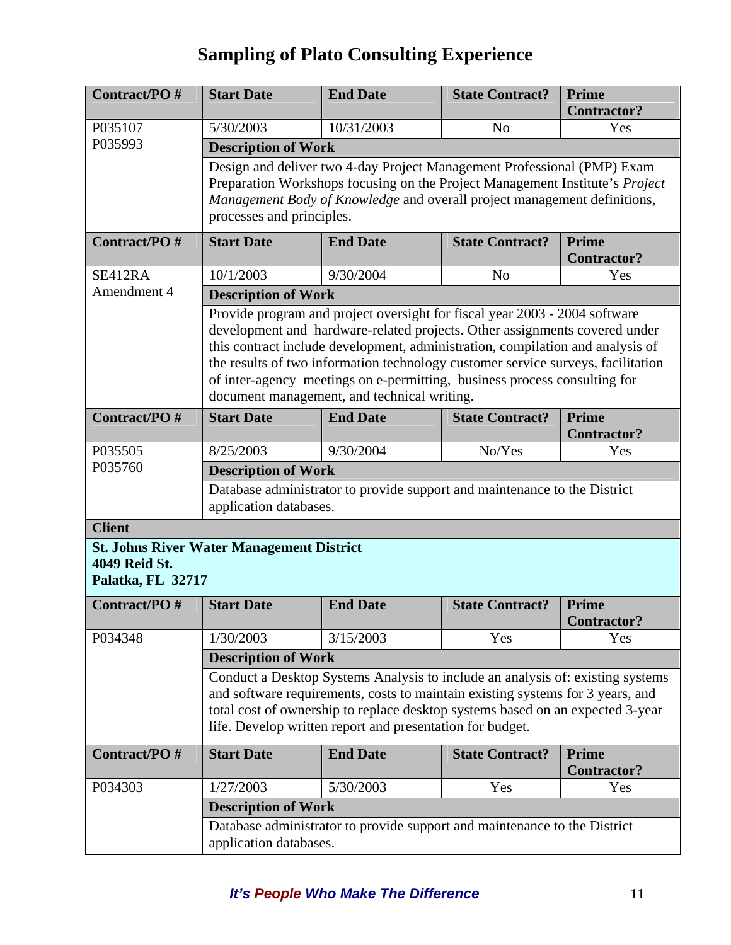| Contract/PO#                       | <b>Start Date</b>                                                                                                                                                                                                                                                                                                                                                                                                                                          | <b>End Date</b>                                                              | <b>State Contract?</b> | <b>Prime</b><br><b>Contractor?</b> |  |  |
|------------------------------------|------------------------------------------------------------------------------------------------------------------------------------------------------------------------------------------------------------------------------------------------------------------------------------------------------------------------------------------------------------------------------------------------------------------------------------------------------------|------------------------------------------------------------------------------|------------------------|------------------------------------|--|--|
| P035107                            | 5/30/2003                                                                                                                                                                                                                                                                                                                                                                                                                                                  | 10/31/2003                                                                   | N <sub>o</sub>         | Yes                                |  |  |
| P035993                            | <b>Description of Work</b>                                                                                                                                                                                                                                                                                                                                                                                                                                 |                                                                              |                        |                                    |  |  |
|                                    |                                                                                                                                                                                                                                                                                                                                                                                                                                                            | Design and deliver two 4-day Project Management Professional (PMP) Exam      |                        |                                    |  |  |
|                                    |                                                                                                                                                                                                                                                                                                                                                                                                                                                            | Preparation Workshops focusing on the Project Management Institute's Project |                        |                                    |  |  |
|                                    | Management Body of Knowledge and overall project management definitions,<br>processes and principles.                                                                                                                                                                                                                                                                                                                                                      |                                                                              |                        |                                    |  |  |
| Contract/PO#                       | <b>Start Date</b>                                                                                                                                                                                                                                                                                                                                                                                                                                          | <b>End Date</b>                                                              | <b>State Contract?</b> | Prime<br><b>Contractor?</b>        |  |  |
| SE412RA                            | 10/1/2003<br>9/30/2004<br>N <sub>o</sub><br>Yes                                                                                                                                                                                                                                                                                                                                                                                                            |                                                                              |                        |                                    |  |  |
| Amendment 4                        | <b>Description of Work</b>                                                                                                                                                                                                                                                                                                                                                                                                                                 |                                                                              |                        |                                    |  |  |
|                                    | Provide program and project oversight for fiscal year 2003 - 2004 software<br>development and hardware-related projects. Other assignments covered under<br>this contract include development, administration, compilation and analysis of<br>the results of two information technology customer service surveys, facilitation<br>of inter-agency meetings on e-permitting, business process consulting for<br>document management, and technical writing. |                                                                              |                        |                                    |  |  |
| Contract/PO#                       | <b>Start Date</b>                                                                                                                                                                                                                                                                                                                                                                                                                                          | <b>End Date</b>                                                              | <b>State Contract?</b> | <b>Prime</b><br><b>Contractor?</b> |  |  |
| P035505                            | 8/25/2003                                                                                                                                                                                                                                                                                                                                                                                                                                                  | 9/30/2004                                                                    | No/Yes                 | Yes                                |  |  |
| P035760                            | <b>Description of Work</b>                                                                                                                                                                                                                                                                                                                                                                                                                                 |                                                                              |                        |                                    |  |  |
|                                    | application databases.                                                                                                                                                                                                                                                                                                                                                                                                                                     | Database administrator to provide support and maintenance to the District    |                        |                                    |  |  |
| <b>Client</b>                      |                                                                                                                                                                                                                                                                                                                                                                                                                                                            |                                                                              |                        |                                    |  |  |
| 4049 Reid St.<br>Palatka, FL 32717 | <b>St. Johns River Water Management District</b>                                                                                                                                                                                                                                                                                                                                                                                                           |                                                                              |                        |                                    |  |  |
| Contract/PO#                       | <b>Start Date</b>                                                                                                                                                                                                                                                                                                                                                                                                                                          | <b>End Date</b>                                                              | <b>State Contract?</b> | Prime<br><b>Contractor?</b>        |  |  |
| P034348                            | 1/30/2003                                                                                                                                                                                                                                                                                                                                                                                                                                                  | 3/15/2003                                                                    | Yes                    | Yes                                |  |  |
|                                    | <b>Description of Work</b>                                                                                                                                                                                                                                                                                                                                                                                                                                 |                                                                              |                        |                                    |  |  |
|                                    | Conduct a Desktop Systems Analysis to include an analysis of: existing systems<br>and software requirements, costs to maintain existing systems for 3 years, and<br>total cost of ownership to replace desktop systems based on an expected 3-year<br>life. Develop written report and presentation for budget.                                                                                                                                            |                                                                              |                        |                                    |  |  |
| Contract/PO#                       | <b>Start Date</b>                                                                                                                                                                                                                                                                                                                                                                                                                                          | <b>End Date</b>                                                              | <b>State Contract?</b> | <b>Prime</b><br><b>Contractor?</b> |  |  |
| P034303                            | 1/27/2003                                                                                                                                                                                                                                                                                                                                                                                                                                                  | 5/30/2003                                                                    | Yes                    | Yes                                |  |  |
|                                    | <b>Description of Work</b>                                                                                                                                                                                                                                                                                                                                                                                                                                 |                                                                              |                        |                                    |  |  |
|                                    | Database administrator to provide support and maintenance to the District<br>application databases.                                                                                                                                                                                                                                                                                                                                                        |                                                                              |                        |                                    |  |  |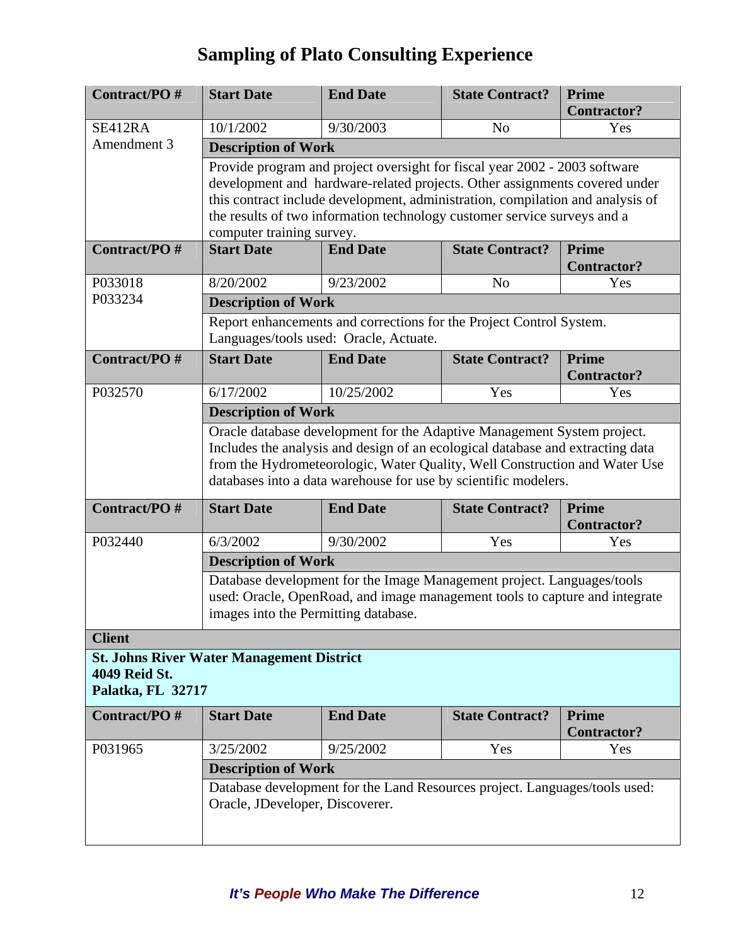| Contract/PO#                                                                           | <b>Start Date</b>                                                                                                                                                                                                                                                                                                                                   | <b>End Date</b>                                                                                               | <b>State Contract?</b> | <b>Prime</b><br><b>Contractor?</b> |  |  |
|----------------------------------------------------------------------------------------|-----------------------------------------------------------------------------------------------------------------------------------------------------------------------------------------------------------------------------------------------------------------------------------------------------------------------------------------------------|---------------------------------------------------------------------------------------------------------------|------------------------|------------------------------------|--|--|
| SE412RA                                                                                | 10/1/2002                                                                                                                                                                                                                                                                                                                                           | 9/30/2003                                                                                                     | N <sub>o</sub>         | Yes                                |  |  |
| Amendment 3                                                                            | <b>Description of Work</b>                                                                                                                                                                                                                                                                                                                          |                                                                                                               |                        |                                    |  |  |
|                                                                                        | Provide program and project oversight for fiscal year 2002 - 2003 software<br>development and hardware-related projects. Other assignments covered under<br>this contract include development, administration, compilation and analysis of<br>the results of two information technology customer service surveys and a<br>computer training survey. |                                                                                                               |                        |                                    |  |  |
| Contract/PO#                                                                           | <b>End Date</b><br><b>Prime</b><br><b>Start Date</b><br><b>State Contract?</b><br><b>Contractor?</b>                                                                                                                                                                                                                                                |                                                                                                               |                        |                                    |  |  |
| P033018                                                                                | 8/20/2002                                                                                                                                                                                                                                                                                                                                           | 9/23/2002                                                                                                     | N <sub>o</sub>         | Yes                                |  |  |
| P033234                                                                                | <b>Description of Work</b>                                                                                                                                                                                                                                                                                                                          |                                                                                                               |                        |                                    |  |  |
|                                                                                        |                                                                                                                                                                                                                                                                                                                                                     | Report enhancements and corrections for the Project Control System.<br>Languages/tools used: Oracle, Actuate. |                        |                                    |  |  |
| Contract/PO#                                                                           | <b>Start Date</b>                                                                                                                                                                                                                                                                                                                                   | <b>End Date</b>                                                                                               | <b>State Contract?</b> | Prime<br><b>Contractor?</b>        |  |  |
| P032570                                                                                | 6/17/2002                                                                                                                                                                                                                                                                                                                                           | 10/25/2002                                                                                                    | Yes                    | Yes                                |  |  |
|                                                                                        | <b>Description of Work</b>                                                                                                                                                                                                                                                                                                                          |                                                                                                               |                        |                                    |  |  |
|                                                                                        | Oracle database development for the Adaptive Management System project.<br>Includes the analysis and design of an ecological database and extracting data<br>from the Hydrometeorologic, Water Quality, Well Construction and Water Use<br>databases into a data warehouse for use by scientific modelers.                                          |                                                                                                               |                        |                                    |  |  |
| Contract/PO#                                                                           | <b>Start Date</b>                                                                                                                                                                                                                                                                                                                                   | <b>End Date</b>                                                                                               | <b>State Contract?</b> | Prime<br><b>Contractor?</b>        |  |  |
| P032440                                                                                | 6/3/2002                                                                                                                                                                                                                                                                                                                                            | 9/30/2002                                                                                                     | Yes                    | Yes                                |  |  |
|                                                                                        | <b>Description of Work</b>                                                                                                                                                                                                                                                                                                                          |                                                                                                               |                        |                                    |  |  |
|                                                                                        | Database development for the Image Management project. Languages/tools<br>used: Oracle, OpenRoad, and image management tools to capture and integrate<br>images into the Permitting database.                                                                                                                                                       |                                                                                                               |                        |                                    |  |  |
| <b>Client</b>                                                                          |                                                                                                                                                                                                                                                                                                                                                     |                                                                                                               |                        |                                    |  |  |
| <b>St. Johns River Water Management District</b><br>4049 Reid St.<br>Palatka, FL 32717 |                                                                                                                                                                                                                                                                                                                                                     |                                                                                                               |                        |                                    |  |  |
| Contract/PO#                                                                           | <b>Start Date</b>                                                                                                                                                                                                                                                                                                                                   | <b>End Date</b>                                                                                               | <b>State Contract?</b> | <b>Prime</b><br><b>Contractor?</b> |  |  |
| P031965                                                                                | 3/25/2002                                                                                                                                                                                                                                                                                                                                           | 9/25/2002                                                                                                     | Yes                    | Yes                                |  |  |
|                                                                                        | <b>Description of Work</b>                                                                                                                                                                                                                                                                                                                          |                                                                                                               |                        |                                    |  |  |
|                                                                                        | Oracle, JDeveloper, Discoverer.                                                                                                                                                                                                                                                                                                                     | Database development for the Land Resources project. Languages/tools used:                                    |                        |                                    |  |  |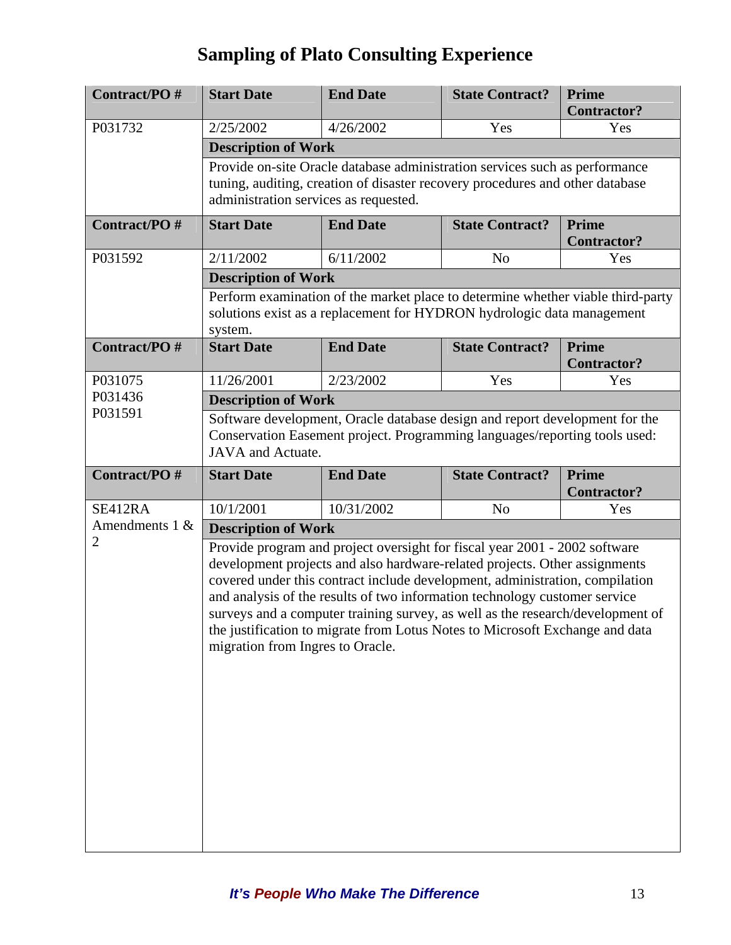| Contract/PO#                        | <b>Start Date</b>                                                                                                                                                                                                                                                                                                                                                                                                                                                                                                            | <b>End Date</b> | <b>State Contract?</b> | <b>Prime</b><br><b>Contractor?</b> |  |  |
|-------------------------------------|------------------------------------------------------------------------------------------------------------------------------------------------------------------------------------------------------------------------------------------------------------------------------------------------------------------------------------------------------------------------------------------------------------------------------------------------------------------------------------------------------------------------------|-----------------|------------------------|------------------------------------|--|--|
| P031732                             | 2/25/2002                                                                                                                                                                                                                                                                                                                                                                                                                                                                                                                    | 4/26/2002       | Yes                    | Yes                                |  |  |
|                                     | <b>Description of Work</b>                                                                                                                                                                                                                                                                                                                                                                                                                                                                                                   |                 |                        |                                    |  |  |
|                                     | Provide on-site Oracle database administration services such as performance<br>tuning, auditing, creation of disaster recovery procedures and other database<br>administration services as requested.                                                                                                                                                                                                                                                                                                                        |                 |                        |                                    |  |  |
| Contract/PO#                        | <b>Start Date</b>                                                                                                                                                                                                                                                                                                                                                                                                                                                                                                            | <b>End Date</b> | <b>State Contract?</b> | <b>Prime</b><br><b>Contractor?</b> |  |  |
| P031592                             | 2/11/2002                                                                                                                                                                                                                                                                                                                                                                                                                                                                                                                    | 6/11/2002       | N <sub>o</sub>         | Yes                                |  |  |
|                                     | <b>Description of Work</b>                                                                                                                                                                                                                                                                                                                                                                                                                                                                                                   |                 |                        |                                    |  |  |
|                                     | Perform examination of the market place to determine whether viable third-party<br>solutions exist as a replacement for HYDRON hydrologic data management<br>system.                                                                                                                                                                                                                                                                                                                                                         |                 |                        |                                    |  |  |
| Contract/PO#                        | <b>Start Date</b>                                                                                                                                                                                                                                                                                                                                                                                                                                                                                                            | <b>End Date</b> | <b>State Contract?</b> | <b>Prime</b><br><b>Contractor?</b> |  |  |
| P031075                             | 11/26/2001                                                                                                                                                                                                                                                                                                                                                                                                                                                                                                                   | 2/23/2002       | Yes                    | Yes                                |  |  |
| P031436<br>P031591                  | <b>Description of Work</b>                                                                                                                                                                                                                                                                                                                                                                                                                                                                                                   |                 |                        |                                    |  |  |
|                                     | Software development, Oracle database design and report development for the<br>Conservation Easement project. Programming languages/reporting tools used:<br><b>JAVA</b> and Actuate.                                                                                                                                                                                                                                                                                                                                        |                 |                        |                                    |  |  |
| Contract/PO#                        | <b>Start Date</b>                                                                                                                                                                                                                                                                                                                                                                                                                                                                                                            | <b>End Date</b> | <b>State Contract?</b> | <b>Prime</b><br><b>Contractor?</b> |  |  |
| SE412RA                             | 10/1/2001                                                                                                                                                                                                                                                                                                                                                                                                                                                                                                                    | 10/31/2002      | N <sub>o</sub>         | Yes                                |  |  |
| Amendments $1 &e$<br>$\overline{2}$ | <b>Description of Work</b>                                                                                                                                                                                                                                                                                                                                                                                                                                                                                                   |                 |                        |                                    |  |  |
|                                     | Provide program and project oversight for fiscal year 2001 - 2002 software<br>development projects and also hardware-related projects. Other assignments<br>covered under this contract include development, administration, compilation<br>and analysis of the results of two information technology customer service<br>surveys and a computer training survey, as well as the research/development of<br>the justification to migrate from Lotus Notes to Microsoft Exchange and data<br>migration from Ingres to Oracle. |                 |                        |                                    |  |  |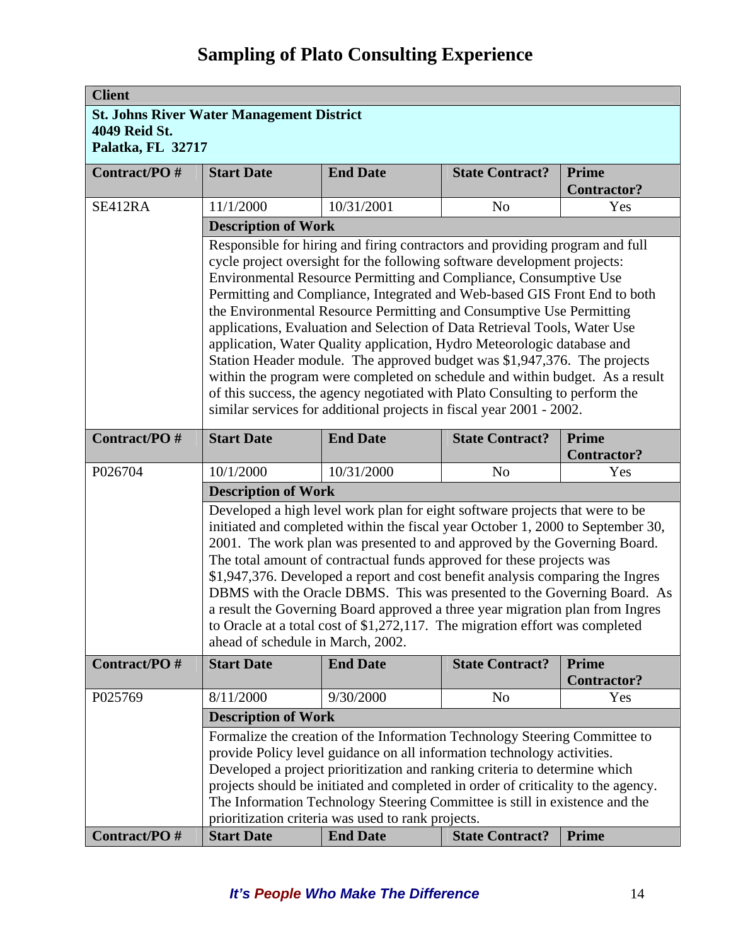| <b>Client</b>                                    |                                                                                                                                                                                                                                                                                                                    |                                                                                                                                                           |                        |                           |  |  |  |  |
|--------------------------------------------------|--------------------------------------------------------------------------------------------------------------------------------------------------------------------------------------------------------------------------------------------------------------------------------------------------------------------|-----------------------------------------------------------------------------------------------------------------------------------------------------------|------------------------|---------------------------|--|--|--|--|
| <b>St. Johns River Water Management District</b> |                                                                                                                                                                                                                                                                                                                    |                                                                                                                                                           |                        |                           |  |  |  |  |
| 4049 Reid St.                                    |                                                                                                                                                                                                                                                                                                                    |                                                                                                                                                           |                        |                           |  |  |  |  |
| Palatka, FL 32717                                |                                                                                                                                                                                                                                                                                                                    |                                                                                                                                                           |                        |                           |  |  |  |  |
| Contract/PO#                                     | <b>Start Date</b>                                                                                                                                                                                                                                                                                                  | <b>End Date</b>                                                                                                                                           | <b>State Contract?</b> | <b>Prime</b>              |  |  |  |  |
|                                                  |                                                                                                                                                                                                                                                                                                                    |                                                                                                                                                           |                        | <b>Contractor?</b>        |  |  |  |  |
| SE412RA                                          | 11/1/2000                                                                                                                                                                                                                                                                                                          | 10/31/2001                                                                                                                                                | N <sub>o</sub>         | Yes                       |  |  |  |  |
|                                                  | <b>Description of Work</b>                                                                                                                                                                                                                                                                                         |                                                                                                                                                           |                        |                           |  |  |  |  |
|                                                  |                                                                                                                                                                                                                                                                                                                    | Responsible for hiring and firing contractors and providing program and full                                                                              |                        |                           |  |  |  |  |
|                                                  |                                                                                                                                                                                                                                                                                                                    | cycle project oversight for the following software development projects:                                                                                  |                        |                           |  |  |  |  |
|                                                  | Environmental Resource Permitting and Compliance, Consumptive Use<br>Permitting and Compliance, Integrated and Web-based GIS Front End to both<br>the Environmental Resource Permitting and Consumptive Use Permitting                                                                                             |                                                                                                                                                           |                        |                           |  |  |  |  |
|                                                  |                                                                                                                                                                                                                                                                                                                    |                                                                                                                                                           |                        |                           |  |  |  |  |
|                                                  | applications, Evaluation and Selection of Data Retrieval Tools, Water Use                                                                                                                                                                                                                                          |                                                                                                                                                           |                        |                           |  |  |  |  |
|                                                  | application, Water Quality application, Hydro Meteorologic database and<br>Station Header module. The approved budget was \$1,947,376. The projects<br>within the program were completed on schedule and within budget. As a result<br>of this success, the agency negotiated with Plato Consulting to perform the |                                                                                                                                                           |                        |                           |  |  |  |  |
|                                                  |                                                                                                                                                                                                                                                                                                                    |                                                                                                                                                           |                        |                           |  |  |  |  |
|                                                  |                                                                                                                                                                                                                                                                                                                    |                                                                                                                                                           |                        |                           |  |  |  |  |
|                                                  |                                                                                                                                                                                                                                                                                                                    |                                                                                                                                                           |                        |                           |  |  |  |  |
|                                                  | similar services for additional projects in fiscal year 2001 - 2002.                                                                                                                                                                                                                                               |                                                                                                                                                           |                        |                           |  |  |  |  |
| Contract/PO#                                     | <b>Start Date</b>                                                                                                                                                                                                                                                                                                  | <b>End Date</b>                                                                                                                                           | <b>State Contract?</b> | <b>Prime</b>              |  |  |  |  |
| P026704                                          | 10/1/2000                                                                                                                                                                                                                                                                                                          | 10/31/2000                                                                                                                                                | N <sub>o</sub>         | <b>Contractor?</b><br>Yes |  |  |  |  |
|                                                  |                                                                                                                                                                                                                                                                                                                    |                                                                                                                                                           |                        |                           |  |  |  |  |
|                                                  | <b>Description of Work</b>                                                                                                                                                                                                                                                                                         |                                                                                                                                                           |                        |                           |  |  |  |  |
|                                                  | Developed a high level work plan for eight software projects that were to be<br>initiated and completed within the fiscal year October 1, 2000 to September 30,                                                                                                                                                    |                                                                                                                                                           |                        |                           |  |  |  |  |
|                                                  | 2001. The work plan was presented to and approved by the Governing Board.<br>The total amount of contractual funds approved for these projects was<br>\$1,947,376. Developed a report and cost benefit analysis comparing the Ingres                                                                               |                                                                                                                                                           |                        |                           |  |  |  |  |
|                                                  |                                                                                                                                                                                                                                                                                                                    |                                                                                                                                                           |                        |                           |  |  |  |  |
|                                                  |                                                                                                                                                                                                                                                                                                                    |                                                                                                                                                           |                        |                           |  |  |  |  |
|                                                  |                                                                                                                                                                                                                                                                                                                    | DBMS with the Oracle DBMS. This was presented to the Governing Board. As<br>a result the Governing Board approved a three year migration plan from Ingres |                        |                           |  |  |  |  |
|                                                  | to Oracle at a total cost of \$1,272,117. The migration effort was completed                                                                                                                                                                                                                                       |                                                                                                                                                           |                        |                           |  |  |  |  |
|                                                  | ahead of schedule in March, 2002.                                                                                                                                                                                                                                                                                  |                                                                                                                                                           |                        |                           |  |  |  |  |
| Contract/PO#                                     | <b>Start Date</b>                                                                                                                                                                                                                                                                                                  | <b>End Date</b>                                                                                                                                           | <b>State Contract?</b> | <b>Prime</b>              |  |  |  |  |
|                                                  |                                                                                                                                                                                                                                                                                                                    |                                                                                                                                                           |                        | <b>Contractor?</b>        |  |  |  |  |
| P025769                                          | 8/11/2000                                                                                                                                                                                                                                                                                                          | 9/30/2000                                                                                                                                                 | N <sub>o</sub>         | Yes                       |  |  |  |  |
|                                                  | <b>Description of Work</b>                                                                                                                                                                                                                                                                                         |                                                                                                                                                           |                        |                           |  |  |  |  |
|                                                  | Formalize the creation of the Information Technology Steering Committee to                                                                                                                                                                                                                                         |                                                                                                                                                           |                        |                           |  |  |  |  |
|                                                  | provide Policy level guidance on all information technology activities.                                                                                                                                                                                                                                            |                                                                                                                                                           |                        |                           |  |  |  |  |
|                                                  | Developed a project prioritization and ranking criteria to determine which                                                                                                                                                                                                                                         |                                                                                                                                                           |                        |                           |  |  |  |  |
|                                                  | projects should be initiated and completed in order of criticality to the agency.<br>The Information Technology Steering Committee is still in existence and the                                                                                                                                                   |                                                                                                                                                           |                        |                           |  |  |  |  |
|                                                  | prioritization criteria was used to rank projects.                                                                                                                                                                                                                                                                 |                                                                                                                                                           |                        |                           |  |  |  |  |
| Contract/PO#                                     | <b>Start Date</b>                                                                                                                                                                                                                                                                                                  | <b>End Date</b>                                                                                                                                           | <b>State Contract?</b> | <b>Prime</b>              |  |  |  |  |